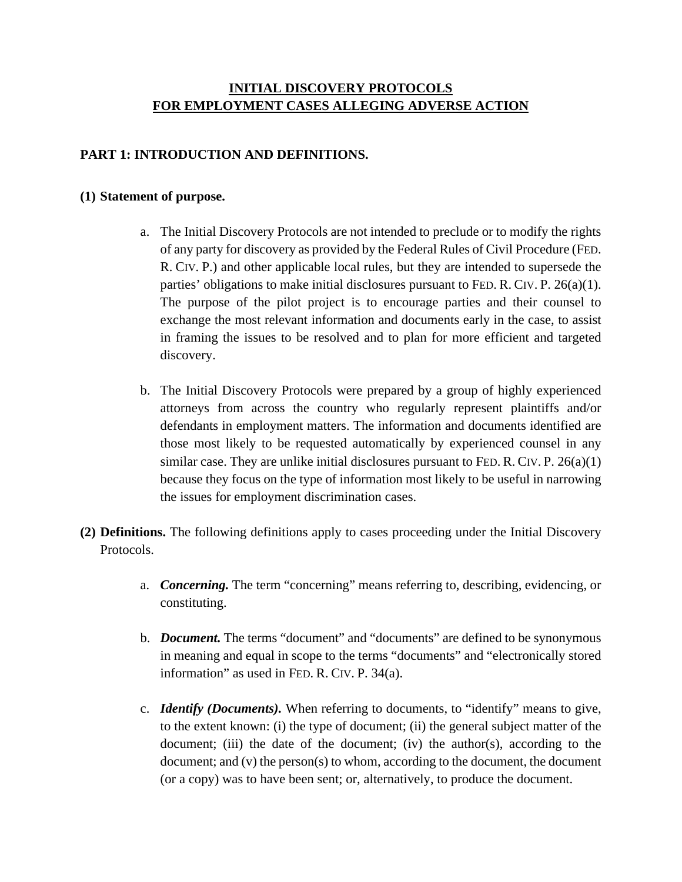# **INITIAL DISCOVERY PROTOCOLS FOR EMPLOYMENT CASES ALLEGING ADVERSE ACTION**

## **PART 1: INTRODUCTION AND DEFINITIONS.**

#### **(1) Statement of purpose.**

- a. The Initial Discovery Protocols are not intended to preclude or to modify the rights of any party for discovery as provided by the Federal Rules of Civil Procedure (FED. R. CIV. P.) and other applicable local rules, but they are intended to supersede the parties' obligations to make initial disclosures pursuant to FED. R. CIV. P. 26(a)(1). The purpose of the pilot project is to encourage parties and their counsel to exchange the most relevant information and documents early in the case, to assist in framing the issues to be resolved and to plan for more efficient and targeted discovery.
- b. The Initial Discovery Protocols were prepared by a group of highly experienced attorneys from across the country who regularly represent plaintiffs and/or defendants in employment matters. The information and documents identified are those most likely to be requested automatically by experienced counsel in any similar case. They are unlike initial disclosures pursuant to FED. R. CIV. P.  $26(a)(1)$ because they focus on the type of information most likely to be useful in narrowing the issues for employment discrimination cases.
- **(2) Definitions.** The following definitions apply to cases proceeding under the Initial Discovery Protocols.
	- a. *Concerning.* The term "concerning" means referring to, describing, evidencing, or constituting.
	- b. *Document.* The terms "document" and "documents" are defined to be synonymous in meaning and equal in scope to the terms "documents" and "electronically stored information" as used in FED. R. CIV. P. 34(a).
	- c. *Identify (Documents).* When referring to documents, to "identify" means to give, to the extent known: (i) the type of document; (ii) the general subject matter of the document; (iii) the date of the document; (iv) the author(s), according to the document; and (v) the person(s) to whom, according to the document, the document (or a copy) was to have been sent; or, alternatively, to produce the document.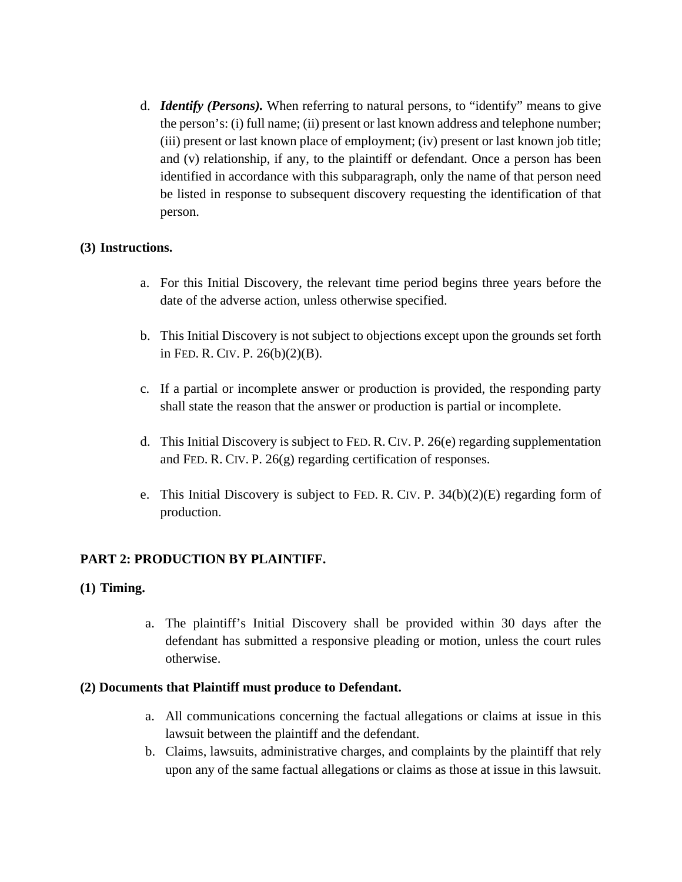d. *Identify (Persons).* When referring to natural persons, to "identify" means to give the person's: (i) full name; (ii) present or last known address and telephone number; (iii) present or last known place of employment; (iv) present or last known job title; and (v) relationship, if any, to the plaintiff or defendant. Once a person has been identified in accordance with this subparagraph, only the name of that person need be listed in response to subsequent discovery requesting the identification of that person.

#### **(3) Instructions.**

- a. For this Initial Discovery, the relevant time period begins three years before the date of the adverse action, unless otherwise specified.
- b. This Initial Discovery is not subject to objections except upon the grounds set forth in FED. R. CIV. P. 26(b)(2)(B).
- c. If a partial or incomplete answer or production is provided, the responding party shall state the reason that the answer or production is partial or incomplete.
- d. This Initial Discovery is subject to FED. R. CIV. P. 26(e) regarding supplementation and FED. R. CIV. P. 26(g) regarding certification of responses.
- e. This Initial Discovery is subject to FED. R. CIV. P. 34(b)(2)(E) regarding form of production.

## **PART 2: PRODUCTION BY PLAINTIFF.**

## **(1) Timing.**

a. The plaintiff's Initial Discovery shall be provided within 30 days after the defendant has submitted a responsive pleading or motion, unless the court rules otherwise.

#### **(2) Documents that Plaintiff must produce to Defendant.**

- a. All communications concerning the factual allegations or claims at issue in this lawsuit between the plaintiff and the defendant.
- b. Claims, lawsuits, administrative charges, and complaints by the plaintiff that rely upon any of the same factual allegations or claims as those at issue in this lawsuit.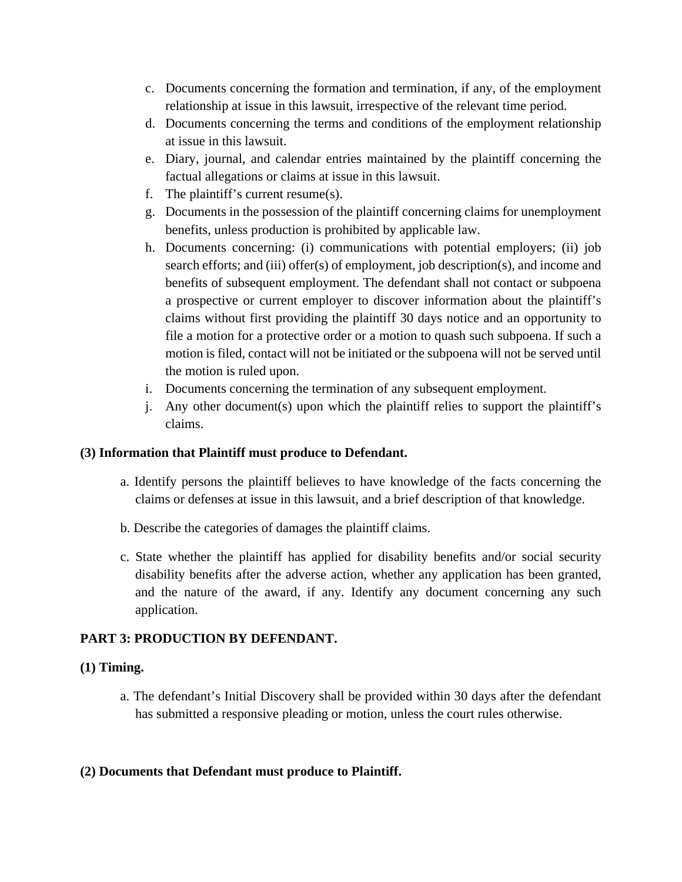- c. Documents concerning the formation and termination, if any, of the employment relationship at issue in this lawsuit, irrespective of the relevant time period.
- d. Documents concerning the terms and conditions of the employment relationship at issue in this lawsuit.
- e. Diary, journal, and calendar entries maintained by the plaintiff concerning the factual allegations or claims at issue in this lawsuit.
- f. The plaintiff's current resume(s).
- g. Documents in the possession of the plaintiff concerning claims for unemployment benefits, unless production is prohibited by applicable law.
- h. Documents concerning: (i) communications with potential employers; (ii) job search efforts; and (iii) offer(s) of employment, job description(s), and income and benefits of subsequent employment. The defendant shall not contact or subpoena a prospective or current employer to discover information about the plaintiff's claims without first providing the plaintiff 30 days notice and an opportunity to file a motion for a protective order or a motion to quash such subpoena. If such a motion is filed, contact will not be initiated or the subpoena will not be served until the motion is ruled upon.
- i. Documents concerning the termination of any subsequent employment.
- j. Any other document(s) upon which the plaintiff relies to support the plaintiff's claims.

## **(3) Information that Plaintiff must produce to Defendant.**

- a. Identify persons the plaintiff believes to have knowledge of the facts concerning the claims or defenses at issue in this lawsuit, and a brief description of that knowledge.
- b. Describe the categories of damages the plaintiff claims.
- c. State whether the plaintiff has applied for disability benefits and/or social security disability benefits after the adverse action, whether any application has been granted, and the nature of the award, if any. Identify any document concerning any such application.

## **PART 3: PRODUCTION BY DEFENDANT.**

## **(1) Timing.**

a. The defendant's Initial Discovery shall be provided within 30 days after the defendant has submitted a responsive pleading or motion, unless the court rules otherwise.

## **(2) Documents that Defendant must produce to Plaintiff.**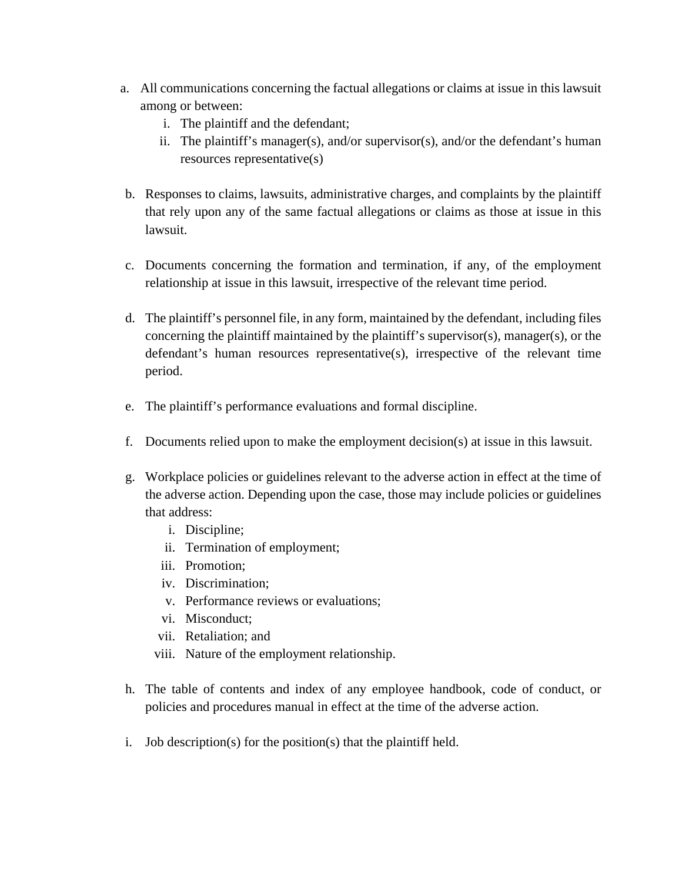- a. All communications concerning the factual allegations or claims at issue in this lawsuit among or between:
	- i. The plaintiff and the defendant;
	- ii. The plaintiff's manager(s), and/or supervisor(s), and/or the defendant's human resources representative(s)
- b. Responses to claims, lawsuits, administrative charges, and complaints by the plaintiff that rely upon any of the same factual allegations or claims as those at issue in this lawsuit.
- c. Documents concerning the formation and termination, if any, of the employment relationship at issue in this lawsuit, irrespective of the relevant time period.
- d. The plaintiff's personnel file, in any form, maintained by the defendant, including files concerning the plaintiff maintained by the plaintiff's supervisor(s), manager(s), or the defendant's human resources representative(s), irrespective of the relevant time period.
- e. The plaintiff's performance evaluations and formal discipline.
- f. Documents relied upon to make the employment decision(s) at issue in this lawsuit.
- g. Workplace policies or guidelines relevant to the adverse action in effect at the time of the adverse action. Depending upon the case, those may include policies or guidelines that address:
	- i. Discipline;
	- ii. Termination of employment;
	- iii. Promotion;
	- iv. Discrimination;
	- v. Performance reviews or evaluations;
	- vi. Misconduct;
	- vii. Retaliation; and
	- viii. Nature of the employment relationship.
- h. The table of contents and index of any employee handbook, code of conduct, or policies and procedures manual in effect at the time of the adverse action.
- i. Job description(s) for the position(s) that the plaintiff held.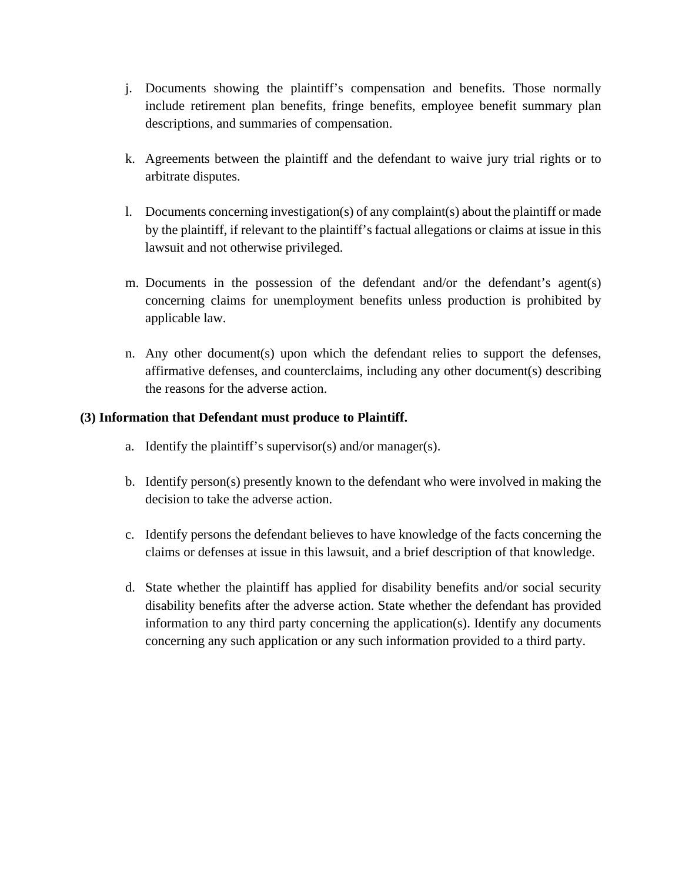- j. Documents showing the plaintiff's compensation and benefits. Those normally include retirement plan benefits, fringe benefits, employee benefit summary plan descriptions, and summaries of compensation.
- k. Agreements between the plaintiff and the defendant to waive jury trial rights or to arbitrate disputes.
- l. Documents concerning investigation(s) of any complaint(s) about the plaintiff or made by the plaintiff, if relevant to the plaintiff's factual allegations or claims at issue in this lawsuit and not otherwise privileged.
- m. Documents in the possession of the defendant and/or the defendant's agent(s) concerning claims for unemployment benefits unless production is prohibited by applicable law.
- n. Any other document(s) upon which the defendant relies to support the defenses, affirmative defenses, and counterclaims, including any other document(s) describing the reasons for the adverse action.

## **(3) Information that Defendant must produce to Plaintiff.**

- a. Identify the plaintiff's supervisor(s) and/or manager(s).
- b. Identify person(s) presently known to the defendant who were involved in making the decision to take the adverse action.
- c. Identify persons the defendant believes to have knowledge of the facts concerning the claims or defenses at issue in this lawsuit, and a brief description of that knowledge.
- d. State whether the plaintiff has applied for disability benefits and/or social security disability benefits after the adverse action. State whether the defendant has provided information to any third party concerning the application(s). Identify any documents concerning any such application or any such information provided to a third party.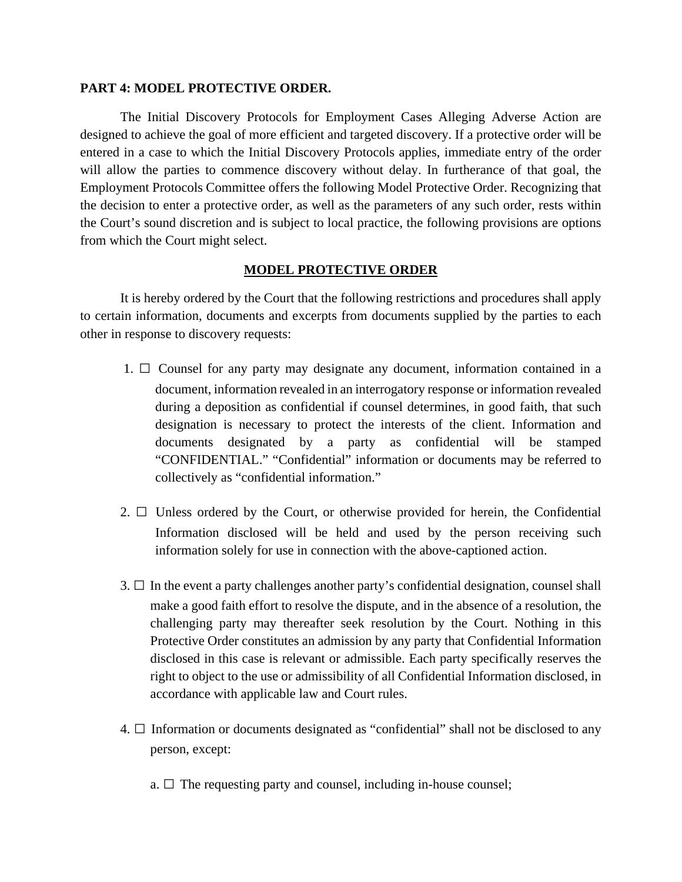#### **PART 4: MODEL PROTECTIVE ORDER.**

The Initial Discovery Protocols for Employment Cases Alleging Adverse Action are designed to achieve the goal of more efficient and targeted discovery. If a protective order will be entered in a case to which the Initial Discovery Protocols applies, immediate entry of the order will allow the parties to commence discovery without delay. In furtherance of that goal, the Employment Protocols Committee offers the following Model Protective Order. Recognizing that the decision to enter a protective order, as well as the parameters of any such order, rests within the Court's sound discretion and is subject to local practice, the following provisions are options from which the Court might select.

#### **MODEL PROTECTIVE ORDER**

It is hereby ordered by the Court that the following restrictions and procedures shall apply to certain information, documents and excerpts from documents supplied by the parties to each other in response to discovery requests:

- 1.  $\Box$  Counsel for any party may designate any document, information contained in a document, information revealed in an interrogatory response or information revealed during a deposition as confidential if counsel determines, in good faith, that such designation is necessary to protect the interests of the client. Information and documents designated by a party as confidential will be stamped "CONFIDENTIAL." "Confidential" information or documents may be referred to collectively as "confidential information."
- 2.  $\Box$  Unless ordered by the Court, or otherwise provided for herein, the Confidential Information disclosed will be held and used by the person receiving such information solely for use in connection with the above-captioned action.
- $3. \Box$  In the event a party challenges another party's confidential designation, counsel shall make a good faith effort to resolve the dispute, and in the absence of a resolution, the challenging party may thereafter seek resolution by the Court. Nothing in this Protective Order constitutes an admission by any party that Confidential Information disclosed in this case is relevant or admissible. Each party specifically reserves the right to object to the use or admissibility of all Confidential Information disclosed, in accordance with applicable law and Court rules.
- 4.  $\Box$  Information or documents designated as "confidential" shall not be disclosed to any person, except:
	- a.  $\Box$  The requesting party and counsel, including in-house counsel;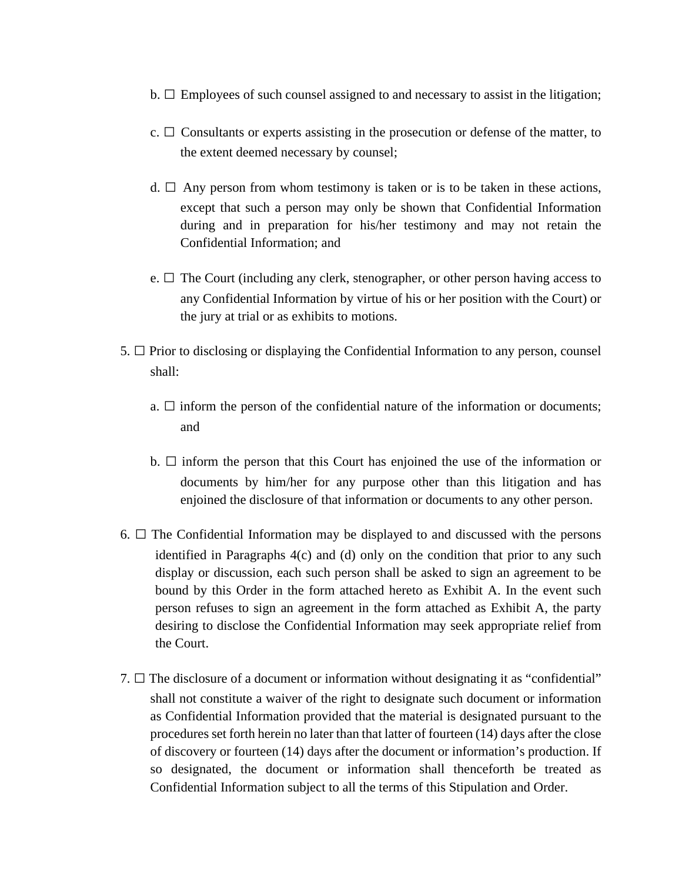- $b. \Box$  Employees of such counsel assigned to and necessary to assist in the litigation;
- c.  $\Box$  Consultants or experts assisting in the prosecution or defense of the matter, to the extent deemed necessary by counsel;
- d.  $\Box$  Any person from whom testimony is taken or is to be taken in these actions, except that such a person may only be shown that Confidential Information during and in preparation for his/her testimony and may not retain the Confidential Information; and
- e.  $\Box$  The Court (including any clerk, stenographer, or other person having access to any Confidential Information by virtue of his or her position with the Court) or the jury at trial or as exhibits to motions.
- 5.  $\Box$  Prior to disclosing or displaying the Confidential Information to any person, counsel shall:
	- a.  $\Box$  inform the person of the confidential nature of the information or documents; and
	- b.  $\square$  inform the person that this Court has enjoined the use of the information or documents by him/her for any purpose other than this litigation and has enjoined the disclosure of that information or documents to any other person.
- 6.  $\Box$  The Confidential Information may be displayed to and discussed with the persons identified in Paragraphs 4(c) and (d) only on the condition that prior to any such display or discussion, each such person shall be asked to sign an agreement to be bound by this Order in the form attached hereto as Exhibit A. In the event such person refuses to sign an agreement in the form attached as Exhibit A, the party desiring to disclose the Confidential Information may seek appropriate relief from the Court.
- 7.  $\Box$  The disclosure of a document or information without designating it as "confidential" shall not constitute a waiver of the right to designate such document or information as Confidential Information provided that the material is designated pursuant to the procedures set forth herein no later than that latter of fourteen (14) days after the close of discovery or fourteen (14) days after the document or information's production. If so designated, the document or information shall thenceforth be treated as Confidential Information subject to all the terms of this Stipulation and Order.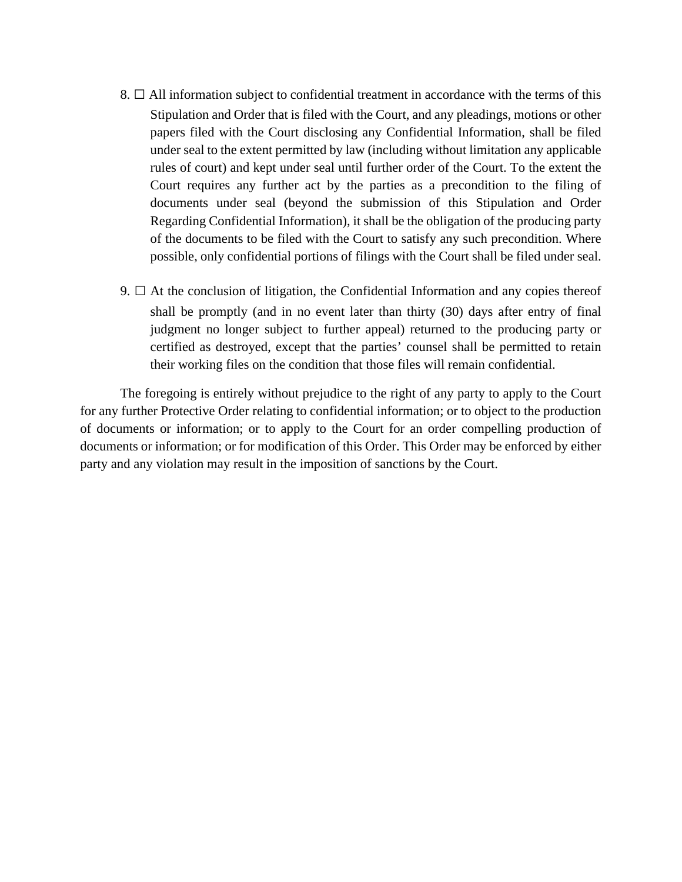- 8.  $\Box$  All information subject to confidential treatment in accordance with the terms of this Stipulation and Order that is filed with the Court, and any pleadings, motions or other papers filed with the Court disclosing any Confidential Information, shall be filed under seal to the extent permitted by law (including without limitation any applicable rules of court) and kept under seal until further order of the Court. To the extent the Court requires any further act by the parties as a precondition to the filing of documents under seal (beyond the submission of this Stipulation and Order Regarding Confidential Information), it shall be the obligation of the producing party of the documents to be filed with the Court to satisfy any such precondition. Where possible, only confidential portions of filings with the Court shall be filed under seal.
- 9.  $\Box$  At the conclusion of litigation, the Confidential Information and any copies thereof shall be promptly (and in no event later than thirty (30) days after entry of final judgment no longer subject to further appeal) returned to the producing party or certified as destroyed, except that the parties' counsel shall be permitted to retain their working files on the condition that those files will remain confidential.

The foregoing is entirely without prejudice to the right of any party to apply to the Court for any further Protective Order relating to confidential information; or to object to the production of documents or information; or to apply to the Court for an order compelling production of documents or information; or for modification of this Order. This Order may be enforced by either party and any violation may result in the imposition of sanctions by the Court.